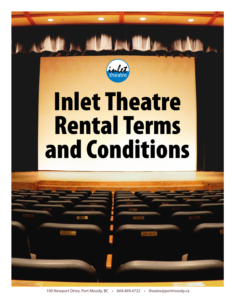

100 Newport Drive, Port Moody, BC • 604.469.4722 • theatre@portmoody.ca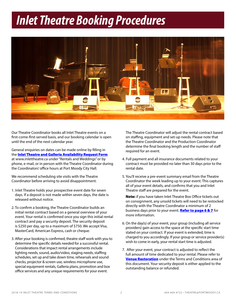# *Inlet Theatre Booking Procedures*



Our Theatre Coordinator books all Inlet Theatre events on a first-come-first-served basis, and our booking calendar is open until the end of the next calendar year.

General enquiries on dates can be made online by filling in the **[Inlet Theatre and Galleria Availability Request Form](http://www.portmoody.ca/index.aspx?recordid=154&page=57)** at www.inlettheatre.ca under "Rentals and Weddings" or by phone, e-mail, or in person with the Theatre Coordinator during the Coordinators' office hours at Port Moody City Hall.

We recommend scheduling site visits with the Theatre Coordinator before arriving to avoid disappointment.

- 1. Inlet Theatre holds your prospective event date for seven days. If a deposit is not made within seven days, the date is released without notice.
- 2. To confirm a booking, the Theatre Coordinator builds an initial rental contract based on a general overview of your event. Your rental is confirmed once you sign this initial rental contract and pay a security deposit. The security deposit is \$250 per day, up to a maximum of \$750. We accept Visa, MasterCard, American Express, cash or cheque.
- 3. After your booking is confirmed, theatre staff work with you to determine the specific details needed for a successful rental. Considerations that impact rental arrangements include lighting needs, sound, audio/video, staging needs, staffing schedules, set up and take down time, rehearsals and sound checks, projector & screen use, wireless microphone use, special equipment rentals, Galleria plans, promotion and box office services and any unique requirements for your event.

The Theatre Coordinator will adjust the rental contract based on staffing, equipment and set-up needs. Please note that the Theatre Coordinator and the Production Coordinator determine the final booking length and the number of staff required for an event.

- 4. Full payment and all insurance documents related to your contract must be provided no later than 30 days prior to the rental date.
- 5. You'll receive a pre-event summary email from the Theatre Coordinator the week leading up to your event. This captures all of your event details, and confirms that you and Inlet Theatre staff are prepared for the event.

Note: if you have taken Inlet Theatre Box Office tickets out on consignment, any unsold tickets will need to be restocked directly with the Theatre Coordinator a minimum of 2 business days prior to your event. [Refer to page 6 & 7](#page-5-0) for more information.

- 6. On the day(s) of your event, your group (including all service providers) gain access to the space at the specific start time stated on your contract. If your event is extended, time is charged to you accordingly. If your group or service provider(s) wish to come in early, your rental start time is adjusted.
- 7. After your event, your contract is adjusted to reflect the full amount of time dedicated to your rental. Please refer to [Venue Restoration](#page-4-0) under the Terms and Conditions area of this document. Your security deposit is either applied to the outstanding balance or refunded.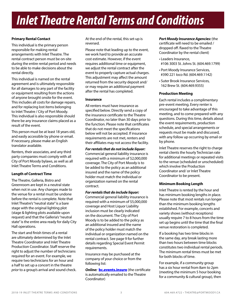#### **Primary Rental Contact**

This individual is the primary person responsible for making rental arrangements with Inlet Theatre. The rental contract person must be on-site during the entire rental period and needs to be able to make decisions about the rental directly.

This individual is named on the rental agreement and is ultimately responsible for all damages to any part of the facility or equipment resulting from the actions of anyone brought onsite for the event. This includes all costs for damage repairs, and for replacing lost items belonging to Inlet Theatre / City of Port Moody. This individual is also responsible should there be any insurance claims placed as a result of the event.

This person must be at least 18 years old, and easily accessible by phone or email. If necessary, please make an English translator available.

Renters, their associates, and any third party companies must comply with all City of Port Moody bylaws, as well as all Inlet Theatre Terms and Conditions.

# **Length of Contract Time**

The Theatre, Galleria, Bistro and Greenroom are kept in a neutral state when not in use. Any changes made to the venue for a rental must be undone before the rental is complete. Note that Inlet Theatre's "neutral state" is a bare stage with the original lighting plot (stage & lighting plots available upon request) and that the Galleria's "neutral state" is the entire area ready for daily City Hall operations.

The start and finish times of a rental are ultimately determined by the Inlet Theatre Coordinator and Inlet Theatre Production Coordinator. Staff reserve the right to adjust the number of technicians required for an event. For example, we require two technicians for an hour and a half to set up a concert in the theatre *prior* to a group's arrival and sound check. At the end of the rental, this set-up is reversed.

Please note that leading up to the event, we work hard to provide an accurate cost estimate. However, if the event requires additional time or equipment, we adjust the rental contract after the event to properly capture actual charges. This adjustment may affect the amount returned from the security deposit and/ or may require an additional payment after the rental has completed.

#### **Insurance**

All renters must have insurance as specified below. Directly send a copy of the insurance certificate to the Theatre Coordinator, no later than 30 days prior to the function. Please note that certificates that do not meet the specifications below will not be accepted. If insurance requirements are not met, renters and their affiliates may not access the facility.

*For rentals that do not include liquor:*  Commercial general liability insurance is required with a minimum of \$2,000,000 coverage. The City of Port Moody is to be added to the policy as an additional insured and the name of the policy holder must match the individual or organization named on the rental contract.

*For rentals that do include liquor:*  Commercial general liability insurance is required with a minimum of \$5,000,000 coverage and Host Liquor Liability inclusion must be clearly indicated on the document. The City of Port Moody is to be added to the policy as an additional insured and the name of the policy holder must match the individual or organization named on the rental contract. See page 9 for further details regarding Special Event Permit requirements.

Insurance may be purchased at the company of your choice or from the following list:

**Online: [bc.events.insure](https://bc.events.insure/ )** (the certificate is automatically emailed to the Theatre Coordinator)

# *Port Moody Insurance Agencies:* (the

certificate will need to be emailed / dropped off /faxed to the Theatre Coordinator by the rental client)

- Leaders Insurance, #106 3003 St. Johns St. (604.469.1799)
- Port Moody Insurance Services, #390 221 Ioco Rd. (604.469.1142)
- Suter Brook Insurance Services, 162 Brew St. (604.469.9355)

#### **Production Meeting**

Each rental includes a complimentary pre-event meeting. Every renter is encouraged to take advantage of this meeting, and to come prepared with any questions. During this time, details about the event requirements, production schedule, and special arrangements or requests must be made and discussed, with any follow up occurring by email or by phone.

Inlet Theatre reserves the right to charge rental clients the hourly Technician rate for additional meetings or repeated visits to the venue (scheduled or unscheduled) which involve the Production Coordinator and/ or Inlet Theatre Coordinator to be present.

# **Minimum Booking Length**

Inlet Theatre is rented by the hour and has minimum booking lengths in place. Please note that most rentals run longer than the minimum booking lengths established. For example, concerts and variety shows (without receptions) usually require 7 to 8 hours from the time set up begins until the time that the final venue restoration is completed.

If a booking has two time blocks in the same day, any break lasting more than two hours between time blocks constitutes two individual rental periods. The minimum rental times must be met for both blocks of time.

For example, if a community group has a six hour rental from 8am to 2pm (meeting the minimum 5 hour booking for a community & cultural group), then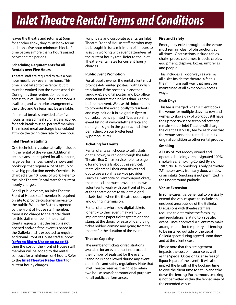<span id="page-3-0"></span>leaves the theatre and returns at 6pm for another show, they must book for an additional five hour minimum block of time because more than 2 hours passed between time periods.

#### **Scheduling Requirements for all Rentals over Five Hours**

Theatre staff are required to take a one hour meal break every five hours. This time is not billed to the renter, but it must be worked into the event schedule. During this time renters do not have access to Inlet Theatre. The Greenroom is available, and with prior arrangements, the Bistro and Galleria may be available.

If no meal break is provided after five hours, a missed meal surcharge is applied for each break missed, per staff member. The missed meal surcharge is calculated at twice the technician rate for one hour.

#### **Inlet Theatre Staffing**

One technician is automatically included in the rental of the venue. Additional technicians are required for all concerts, large performances, variety shows and bookings that require a lot of set up or have big production needs. Overtime is charged after 10 hours of work. Refer to the Inlet Theatre Rental rates for current hourly charges.

For all public events, an Inlet Theatre Front of House staff member is required on site to provide customer service to the public. When the Bistro is opened by the Front of House staff member, there is no charge to the rental client for this staff member. If the rental clients requests that the bistro is not opened and/or if the event is based in the Galleria and is expected to require additional Front of House staff support [\(refer to Bistro Usage on page 5\)](#page-5-0), then the cost of the Front of House staff

member will be added to the rental contract for a minimum of 4 hours. Refer to the **[Inlet Theatre Rates Chart](http://www.portmoody.ca/modules/showdocument.aspx?documentid=8242)** for current hourly charges.

For private and corporate events, an Inlet Theatre Front of House staff member may be brought in for a minimum of 4 hours to assist in working with event attendees, at the current hourly rate. Refer to the Inlet Theatre Rental rates for current hourly charges.

# **Public Event Promotion**

For all public events, the rental client must provide 4–6 printed posters (with English translation if the poster is in another language), a digital poster, and box office contact information no less than 30 days before the event. We use this information to promote the event locally to residents, and may include it in a digital e-flyer to our subscribers, a printed flyer, an online event listing at www.inlettheatre.ca and our digital signs in the galleria, and time permitting, on our twitter feed (@pomoculture).

# **Ticketing for Events**

Rental clients can choose to sell tickets on their own, or can go through the Inlet Theatre Box Office service (refer to page 6 for more details about this service). If rental clients sell their own tickets and opt to use an online service provider (such as Eventbrite or Brownpapertickets), the rental client must provide their own volunteer to work with our Front of House at the theatre doors to validate digital tickets, both when the theatre doors open and during intermission.

Rental clients who allow digital tickets for entry to their event may want to implement a paper ticket system or hand stamp at the doors for ease of identifying ticket holders coming and going from the theatre for the duration of the event.

# **Theatre Capacity**

The number of tickets or registrations available for an event must not exceed the number of seats set for the event. Standing is not allowed during any event due to fire and safety regulations. Note that Inlet Theatre reserves the right to retain two house seats for promotional purposes for all public performances.

# **Fire and Safety**

Emergency exits throughout the venue must remain clear of obstructions at all times. Obstructions include tables, chairs, props, costumes, tripods, cables, equipment, displays, boxes, umbrellas and people.

This includes all doorways as well as all aisles inside the theatre. 4 feet is the minimum pathway that must be maintained at all exit doors & access ways.

# **Dark Days**

This fee is charged when a client books the venue for multiple days in a row and wishes to skip a day of work but still have their property/set or technical settings remain set up. Inlet Theatre will charge the client a Dark Day fee for each day that the venue cannot be rented out in its original condition to other rental groups.

# **Smoking**

All City of Port Moody owned and operated buildings are designated 100% smoke free. Smoking Control Bylaw 1987, No. 1875 Smoking is only permitted 7.5 meters away from any door, window or air intake. Smoking is not permitted in the underground parkade.

# **Venue Extension**

In some cases it is beneficial to physically extend the venue space to include an enclosed area outside of the Galleria. Discussions with theatre staff are required to determine the feasibility and regulations relating to a specific event. Once approved, a client may make arrangements for temporary tall fencing to be installed outside of the usual Galleria space during agreed upon times and at the client's cost.

Please note that this arrangement impacts the cost of insurance as well as the Special Occasion License fees (if liquor is part of the event). It will also impact the length of the booking time to give the client time to set up and take down the fencing. Furthermore, smoking is not permitted within the fenced area of the extended venue.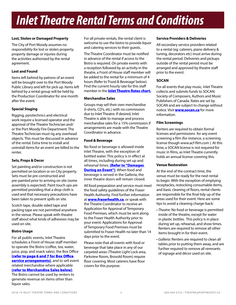#### **Lost, Stolen or Damaged Property**

The City of Port Moody assumes no responsibility for lost or stolen property, property damage or injuries during the activities authorized by the rental agreement.

#### **Lost and Found**

Items left behind by patrons of an event will be brought over to the Port Moody Public Library and left for pick up. Items left behind by a rental group will be held by the Production Coordinator for one month after the event.

# **Special Staging**

Rigging, pyrotechnics and electrical work require a licensed operator and the approval of the Theatre Technician and/ or the Port Moody Fire Department. The Theatre Technician must rig any overhead objects. This must be discussed in advance of the rental. Extra time to install and uninstall items for an event are billed to the renter.

#### **Sets, Props & Decor**

Set painting and/or construction is not permitted on location or on City property. Sets must be pre-constructed and pre-painted prior to arriving on site (some assembly is expected). Paint touch ups are permitted providing that a drop cloth is used and that necessary precautions have been taken to prevent spills on site.

Scotch tape, double sided tape and packing tape are not permitted anywhere in the venue. Please speak with theatre staff about what kinds of adhesives may be used on site.

# **Bistro Usage**

For all public events, Inlet Theatre schedules a Front of House staff member to operate the Bistro (coffee, tea, water, juice, pop, and snack sales), the Box Office [\(refer to page 6 and 7 for Box Office](#page-5-0)  [service arrangements\)](#page-5-0), and to sell event related merchandise where applicable [\(refer to Merchandise Sales below\)](#page-4-1). The Bistro cannot be used by renters to generate revenue on items other than liquor sales.

For all private rentals, the rental client is welcome to use the bistro to provide liquor and catering services to their guests.

The Theatre Coordinator must be notified in advance of the rental if access to the Bistro is required. On private events with a reception followed by an activity in the theatre, a Front of House staff member will be added to the rental for a minimum of 4 hours (Refer to 'Food & Beverage' below). Find the current hourly rate for this staff member in the **[Inlet Theatre Rates chart.](http://www.portmoody.ca/modules/showdocument.aspx?documentid=8242)** 

#### <span id="page-4-1"></span>**Merchandise Sales**

Groups may sell their own merchandise (t-shirts, CD's, etc.) with no commission due to Inlet Theatre. If desired, Inlet Theatre is able to manage and process merchandise sales for a 15% commission if arrangements are made with the Theatre Coordinator in advance.

#### **Food & Beverage**

No food or beverage is allowed inside Inlet Theatre, with the exception of bottled water. This policy is in effect at all times, including during set up and rehearsal times. (Refer to "Damages **[During an Event"\)](#page-5-1).** When food and beverage is served in the Galleria, the inner theatre doors will remain closed.

All food preparation and service must meet the food safety guidelines of the Fraser Health Authority. Find further information at **[www.fraserhealth.ca](http://www.fraserhealth.ca/)**, or speak with the Theatre Coordinator to receive an Application for Approval of Temporary Food Premises, which must be sent along to the Fraser Health Authority prior to your event. Applications for Approval of Temporary Food Premises must be submitted to Fraser Health no later than 14 days prior to the event.

Please note that all events with food or beverage that take place in any of our carpeted areas (Theatre Light Lock area, Parkview Room, Brovold Room) require floor covering. Most caterers have floor covers for this purpose.

#### **Service Providers & Deliveries**

All secondary service providers related to a rental (eg: caterers, piano delivery & tuning, decorators etc) must arrive during the rental period. Deliveries and pickups outside of the rental period must be arranged and approved by theatre staff prior to the event.

# **SOCAN**

For all events that play music, Inlet Theatre collects and submits funds to SOCAN: Society of Composers, Authors and Music Publishers of Canada. Rates are set by SOCAN and are subject to change without notice. Visit **<www.socan.ca>** for more information.

#### **Film Screenings**

Renters are required to obtain formal licenses and permissions for any event screening a film (for instance, a screening license though www.acf-film.com ). At this time, a SOCAN license is not required for music in films, as Inlet Theatre currently holds an annual license covering this.

#### <span id="page-4-0"></span>**Venue Restoration**

At the end of the contract time, the venue must be ready for the next rental to begin. With the exception of emptying receptacles, restocking consumable items, and basic cleaning of floors, rental clients are responsible for the final tidy up of the areas used for their event. Here are some tips to avoid a cleaning charge-back:

- *Theatre:* No food or beverage is permitted inside of the theatre, except for water in plastic bottles. This policy is in place during set up, rehearsal, and show times. Renters are required to remove all other items brought in for their event.
- *Galleria:* Renters are required to clean all tables prior to putting them away, and are further required to remove all remnants of signage and décor used on site.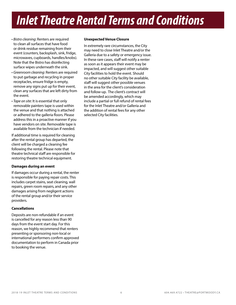- <span id="page-5-0"></span>• *Bistro cleaning*: Renters are required to clean all surfaces that have food or drink residue remaining from their event (counters, backsplash, sink, fridge, microwaves, cupboards, handles/knobs). Note that the Bistro has disinfecting surface wipes underneath the sink.
- *Greenroom cleaning*: Renters are required to put garbage and recycling in proper receptacles, ensure fridge is empty, remove any signs put up for their event, clean any surfaces that are left dirty from the event.
- *Tape on site*: It is essential that only removable painters tape is used within the venue and that nothing is attached or adhered to the galleria floors. Please address this in a proactive manner if you have vendors on site. Removable tape is available from the technician if needed.

If additional time is required for cleaning after the rental group has departed, the client will be charged a cleaning fee following the rental. Please note that theatre technical staff are responsible for restoring theatre technical equipment.

#### <span id="page-5-1"></span>**Damages during an event**

If damages occur during a rental, the renter is responsible for paying repair costs. This includes carpet stains, seat cleaning, wall repairs, green room repairs, and any other damages arising from negligent actions of the rental group and/or their service providers.

#### **Cancellations**

Deposits are non-refundable if an event is cancelled for any reason less than 90 days from the event start day. For this reason, we highly recommend that renters presenting or sponsoring non-local or international performers confirm approved documentation to perform in Canada prior to booking the venue.

#### **Unexpected Venue Closure**

In extremely rare circumstances, the City may need to close Inlet Theatre and/or the Galleria due to a safety or emergency issue. In these rare cases, staff will notify a renter as soon as it appears their event may be impacted, and will suggest other suitable City facilities to hold the event. Should no other suitable City facility be available, staff will suggest other possible venues in the area for the client's consideration and follow-up. The client's contract will be amended accordingly, which may include a partial or full refund of rental fees for the Inlet Theatre and/or Galleria and the addition of rental fees for any other selected City facilities.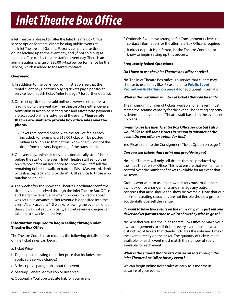# *Inlet Theatre Box Office*

Inlet Theatre is pleased to offer the Inlet Theatre Box Office service option for rental clients hosting public events at the Inlet Theatre and Galleria. Patrons can purchase tickets online leading up to the event day, and (if not sold out) at the box office run by theatre staff on event day. There is an administration charge of \$30.00 (+tax) per performance for this service, which is added to the rental contract.

# Overview:

- 1. In addition to the per-show administration fee that the rental client pays, patrons buying tickets pay a per-ticket service fee on each ticket (refer to page 7 for further details).
- 2. Once set up, tickets are sold online at www.inlettheatre.ca leading up to the event day. The theatre offers either General Admission or Reserved seating. Visa and Mastercard payments are accepted online in advance of the event. Please note that we are unable to provide box office sales over the phone.
	- Tickets are posted online with the service fee already included. For example, a \$15.00 ticket will be posted online as \$17.50 so that patrons know the full cost of the ticket from the very beginning of the transaction.
- 3. On event day, online ticket sales automatically stop 2 hours before the start of the event. Inlet Theatre staff set up the on-site box office an hour prior to show time. Staff sell the remaining tickets to walk up patrons (Visa, Mastercard, debit or cash accepted), and provide Will Call service to those who purchased online.
- 4. The week after the show, the Theatre Coordinator confirms ticket revenue received through the Inlet Theatre Box Office and starts the revenue payment process. If direct deposit was set up in advance, ticket revenue is deposited into the clients' bank account 1-2 weeks following the event. If direct deposit was not set up initially, a ticket revenue cheque can take up to 4 weeks to receive.

# Information required to begin selling through Inlet Theatre Box Office:

The Theatre Coordinator requires the following details before online ticket sales can begin:

- a. Ticket Price
- b. Digital poster (listing the ticket price that includes the applicable service charge.)
- c. A descriptive paragraph about the event
- d. Seating: General Admission or Reserved
- e. Optional: a YouTube website link for your event
- f. Optional: if you have arranged for Consignment tickets, the contact information for the alternate Box Office is required
- g. If direct deposit is preferred, let the Theatre Coordinator know to begin setting up this process.

# Frequently Asked Questions

#### *Do I have to use the Inlet Theatre box office service?*

No. The Inlet Theatre Box office is a service that clients may choose to use if they like. Please refer to **Public Event** [Promotion & Staffing on page 4](#page-3-0) for additional information.

#### *What is the maximum number of tickets that can be sold?*

The maximum number of tickets available for an event must match the seating capacity for the event. The seating capacity is determined by the Inlet Theatre staff based on the event set up plans.

#### *I want to use the Inlet Theatre Box Office service but I also would like to sell some tickets in person in advance of the event. Do you offer an option for this?*

Yes. Please refer to the Consignment Ticket Option on page 7.

# *Can you sell tickets that I print and provide to you?*

No. Inlet Theatre will only sell tickets that are produced by the Inlet Theatre Box Office. This is to ensure that we maintain control over the number of tickets available for an event that we oversee.

Groups who want to use their own tickets must make their own box office arrangements and manage any patron concerns that arise should the show be oversold. Note that our maximum seating capacities are not flexible should a group accidentally oversell the venue.

# *If I want to have two events on the same day, can I just sell one ticket and let patrons choose which show they wish to go to?*

No. Whether you use the Inlet Theatre Box Office or make your own arrangements to sell tickets, every event must have a distinct set of tickets that clearly indicates the date and time of the event directly on the ticket. The quantity of tickets made available for each event must match the number of seats available for each event.

#### *What is the earliest that tickets can go on sale through the Inlet Theatre Box Office for my event?*

We can begin online ticket sales as early as 3 months in advance of your event.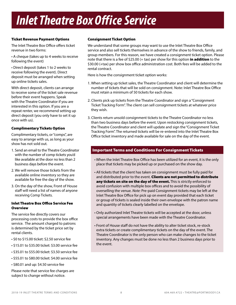# *Inlet Theatre Box Office Service*

#### Ticket Revenue Payment Options

The Inlet Theatre Box Office offers ticket revenue in two forms:

• A cheque (takes up to 4 weeks to receive following the event)

• Direct deposit (takes 1 to 2 weeks to receive following the event). Direct deposit must be arranged when setting up online tickets sales.

With direct deposit, clients can arrange to receive some of the ticket sale revenue before their event happens. Speak with the Theatre Coordinator if you are interested in this option. If you are a repeat renter, we recommend setting up direct deposit (you only have to set it up once with us).

# Complimentary Tickets Option

Complimentary tickets, or "comps", are easy to arrange with us, as long as your show has not sold out.

- 1. Send an email to the Theatre Coordinator with the number of comp tickets you'd like available at the door no less than 2 business days before the event.
- 2. We will remove those tickets from the available online inventory so they are available for free the day of the show.
- 3. On the day of the show, Front of House staff will need a list of names of anyone receiving Comp Tickets.

#### Inlet Theatre Box Office Service Fee **Overview**

The service fee directly covers our processing costs to provide the box office service. The amount charged to patrons is determined by the ticket price set by rental clients.

- \$0 to \$15.00 ticket: \$2.50 service fee
- \$15.01 to \$35.00 ticket: \$3.00 service fee
- \$35.01 to \$55.00 ticket: \$3.50 service fee
- \$55.01 to \$80.00 ticket: \$4.00 service fee
- \$80.01 and up: \$4.50 service fee

Please note that service fee charges are subject to change without notice.

#### Consignment Ticket Option

We understand that some groups may want to use the Inlet Theatre Box Office service and also sell tickets themselves in advance of the show to friends, family, and group members. For this reason, we have created a consignment ticket option. Please note that there is a fee of  $$25.00 (+ tax)$  per show for this option in addition to the \$30.00 (+tax) per show box office administration cost. Both fees will be added to the rental contract.

Here is how the consignment ticket option works:

- 1. When setting up ticket sales, the Theatre Coordinator and client will determine the number of tickets that will be sold on consignment. Note: Inlet Theatre Box Office must retain a minimum of 50 tickets for each show.
- 2. Clients pick up tickets from the Theatre Coordinator and sign a "Consignment Ticket Tracking Form". The client can sell consignment tickets at whatever price they wish.
- 3. Clients return unsold consignment tickets to the Theatre Coordinator no less than two business days before the event. Upon restocking consignment tickets, the Theatre Coordinator and client will update and sign the "Consignment Ticket Tracking Form". The returned tickets will be re-entered into the Inlet Theatre Box Office ticket inventory and made available for sale on the day of the event.

# Important Terms and Conditions For Consignment Tickets

- When the Inlet Theatre Box Office has been utilized for an event, it is the only place that tickets may be picked up or purchased on the show day.
- All tickets that the client has taken on consignment must be fully paid for and distributed prior to the event. Clients are not permitted to distribute any tickets on site on the day of the event. This is strictly enforced to avoid confusion with multiple box offices and to avoid the possibility of overselling the venue. *Note:* Pre-paid Consignment tickets may be left at the Inlet Theatre Box Office for pick up on event day provided that each ticket or group of tickets is sealed inside their own envelope with the patron name and quantity of tickets clearly labelled on the envelope.
- Only authorized Inlet Theatre tickets will be accepted at the door, unless special arrangements have been made with the Theatre Coordinator.
- Front of House staff do not have the ability to alter ticket stock, re-stock extra tickets or create complimentary tickets on the day of the event. The Theatre Coordinator is the only person who can make changes to the ticket inventory. Any changes must be done no less than 2 business days prior to the event.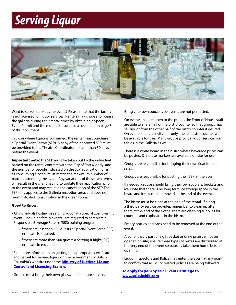# *Serving Liquor*



Want to serve liquor at your event? Please note that the facility is not licensed for liquor service. . Renters may choose to license the galleria during their rental times by obtaining a Special Event Permit and the required insurance as outlined on page 3 of this document.

In cases where liquor is consumed, the renter must purchase a Special Event Permit (SEP). A copy of the approved SEP must be provided to the Theatre Coordinator no later than 30 days before the event.

Important note: The SEP must be taken out by the individual named on the rental contract with the City of Port Moody and the number of people indicated on the SEP application form as consuming alcohol must match the maximum number of patrons attending the event. Any variations of these two terms will result in the client having to update their application prior to the event and may result in the cancellation of the SEP. The SEP only applies to the Galleria reception area, and does not permit alcohol consumption in the green room.

#### Good to Know:

- All individuals hosting or serving liquor at a Special Event Permit event – including family events - are required to complete a Responsible Beverage Service (RBS) training program:
	- If there are less than 500 guests a Special Event Serer (SES) certificate is required.
	- If there are more than 500 guests a Serving it Right (SIR) certificate in required.
- Find more information on getting the appropriate certificate and permit for serving liquor on the Government of British Columbia's website under the **Ministry of Justices' Liquor** [Control and Licensing Branch.](http://www.pssg.gov.bc.ca/lclb/apply/special/index.htm)
- Groups must bring their own glassware for liquor service.
- Bring your own booze type events are not permitted.
- On events that are open to the public, the Front of House staff are able to share half of the bistro counter so that groups may sell liquor from the other half of the bistro counter if desired. On events that are invitation-only, the full bistro counter will be available for use. Many groups provide liquor service from tables in the Galleria as well.
- There is a white board in the bistro where beverage prices can be posted. Dry erase markers are available on site for use.
- Groups are responsible for bringing their own float for bar sales.
- Groups are responsible for posting their SEP at the event.
- If needed, groups should bring their own coolers, buckets and ice. Note that there is no long term ice storage space in the bistro and ice must be removed at the end of the event.
- The bistro must be clean at the end of the rental. If hiring a third party service provider, remember to clean up after them at the end of the event. There are cleaning supplies for counters and cupboards in the bistro.
- Empty bottles and cans need to be removed at the end of the event.
- Alcohol that is part of a gift basket or draw prize cannot be opened on site; ensure these types of prizes are distributed at the very end of the event so patrons take them home before opening.
- Liquor Inspectors and Police may enter the event at any point to confirm that all liquor related policies are being followed.

# [To apply for your Special Event Permit go to](https://solo.bcldb.com/)  [www.solo.bcldb.com](https://solo.bcldb.com/)